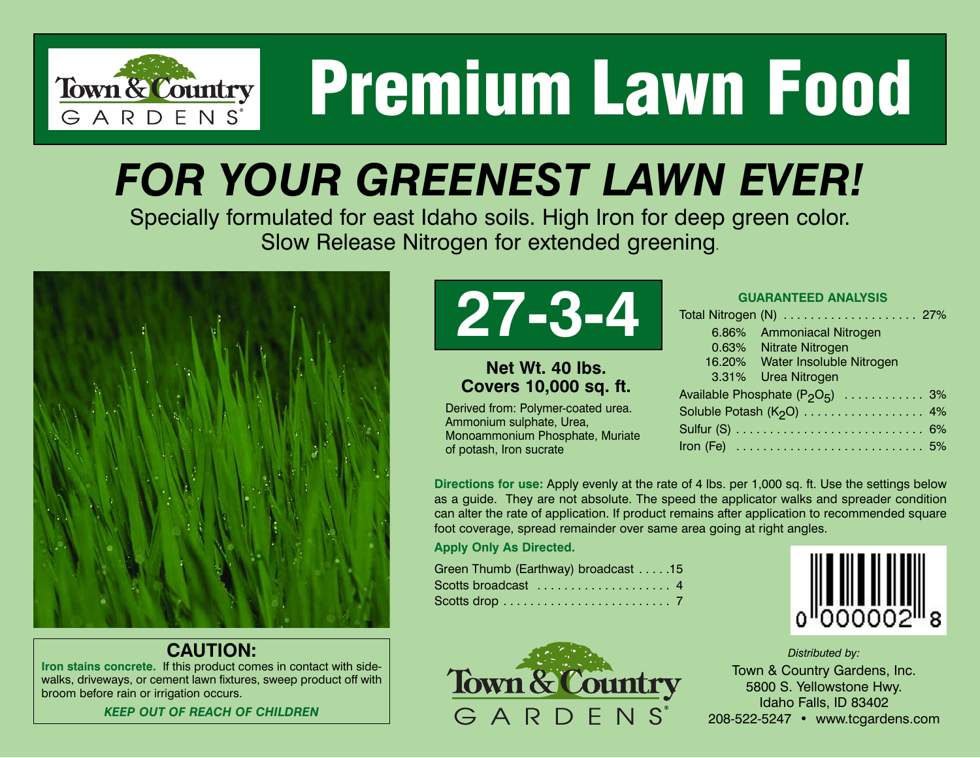

# **Premium Lawn Food**

### *FOR YOUR GREENEST LAWN EVER!*

Specially formulated for east Idaho soils. High Iron for deep green color. Slow Release Nitrogen for extended greening.



#### **CAUTION:**

**Iron stains concrete.** If this product comes in contact with sidewalks, driveways, or cement lawn fixtures, sweep product off with broom before rain or irrigation occurs.

*KEEP OUT OF REACH OF CHILDREN*



#### **Net Wt. 40 lbs. Covers 10,000 sq. ft.**

Derived from: Polymer-coated urea. Ammonium sulphate, Urea, Monoammonium Phosphate, Muriate of potash, Iron sucrate

| <b>GUARANTEED ANALYSIS</b>                                                     |
|--------------------------------------------------------------------------------|
|                                                                                |
| 6.86% Ammoniacal Nitrogen                                                      |
| 0.63% Nitrate Nitrogen                                                         |
| 16.20% Water Insoluble Nitrogen                                                |
| 3.31% Urea Nitrogen                                                            |
| Available Phosphate $(P_2O_5)$ 3%                                              |
| Soluble Potash (K <sub>2</sub> O)  4%                                          |
|                                                                                |
| Iron (Fe) $\ldots \ldots \ldots \ldots \ldots \ldots \ldots \ldots \ldots 5\%$ |

**Directions for use:** Apply evenly at the rate of 4 lbs. per 1,000 sq. ft. Use the settings below as a guide. They are not absolute. The speed the applicator walks and spreader condition can alter the rate of application. If product remains after application to recommended square foot coverage, spread remainder over same area going at right angles.

#### **Apply Only As Directed.**

| Green Thumb (Earthway) broadcast 15 |  |
|-------------------------------------|--|
|                                     |  |
|                                     |  |

Town & Country

GARDENS

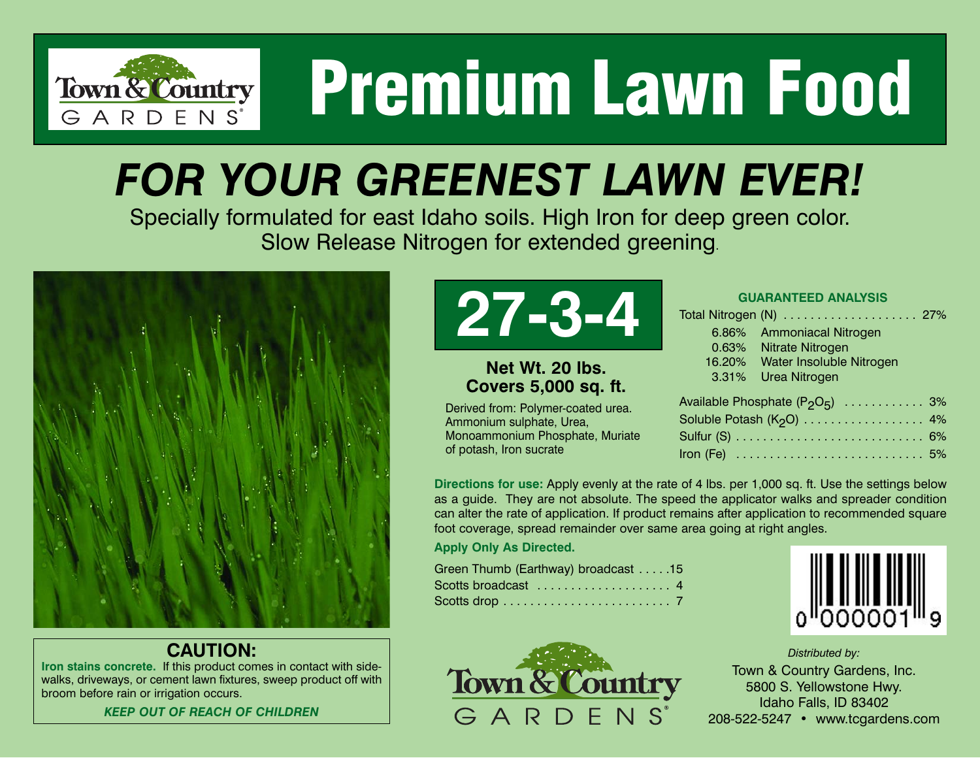

# **Premium Lawn Food**

### *FOR YOUR GREENEST LAWN EVER!*

Specially formulated for east Idaho soils. High Iron for deep green color. Slow Release Nitrogen for extended greening.



#### **CAUTION:**

**Iron stains concrete.** If this product comes in contact with sidewalks, driveways, or cement lawn fixtures, sweep product off with broom before rain or irrigation occurs.

*KEEP OUT OF REACH OF CHILDREN*



#### **Net Wt. 20 lbs. Covers 5,000 sq. ft.**

Derived from: Polymer-coated urea. Ammonium sulphate, Urea, Monoammonium Phosphate, Muriate of potash, Iron sucrate

|                               | <b>GUARANTEED ANALYSIS</b>        |    |
|-------------------------------|-----------------------------------|----|
|                               |                                   |    |
|                               | 6.86% Ammoniacal Nitrogen         |    |
|                               | 0.63% Nitrate Nitrogen            |    |
|                               | 16.20% Water Insoluble Nitrogen   |    |
|                               | 3.31% Urea Nitrogen               |    |
|                               | Available Phosphate $(P_2O_5)$ 3% |    |
| Soluble Potash $(K_0 \Omega)$ |                                   | 4% |

| Soluble Potash (K <sub>2</sub> O) 4% |  |
|--------------------------------------|--|
|                                      |  |
|                                      |  |

**Directions for use:** Apply evenly at the rate of 4 lbs. per 1,000 sq. ft. Use the settings below as a guide. They are not absolute. The speed the applicator walks and spreader condition can alter the rate of application. If product remains after application to recommended square foot coverage, spread remainder over same area going at right angles.

**Apply Only As Directed.**

| Green Thumb (Earthway) broadcast 15 |
|-------------------------------------|
|                                     |
|                                     |

Town & Country

GARDFNS

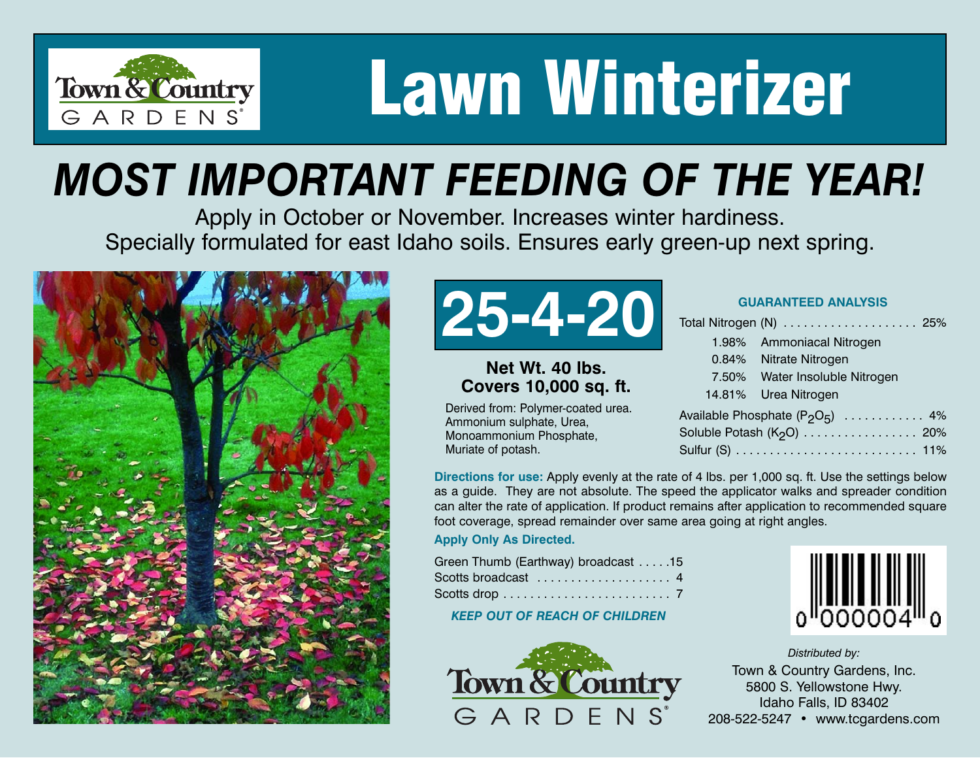

## **Lawn Winterizer**

### *MOST IMPORTANT FEEDING OF THE YEAR!*

Apply in October or November. Increases winter hardiness. Specially formulated for east Idaho soils. Ensures early green-up next spring.





#### **Net Wt. 40 lbs. Covers 10,000 sq. ft.**

Derived from: Polymer-coated urea. Ammonium sulphate, Urea, Monoammonium Phosphate, Muriate of potash.

|                                   | 1.98% Ammoniacal Nitrogen             |  |  |  |
|-----------------------------------|---------------------------------------|--|--|--|
|                                   | 0.84% Nitrate Nitrogen                |  |  |  |
|                                   | 7.50% Water Insoluble Nitrogen        |  |  |  |
|                                   | 14.81% Urea Nitrogen                  |  |  |  |
| Available Phosphate $(P_2O_5)$ 4% |                                       |  |  |  |
|                                   | Soluble Potash (K <sub>2</sub> O) 20% |  |  |  |
|                                   |                                       |  |  |  |

**Directions for use:** Apply evenly at the rate of 4 lbs. per 1,000 sq. ft. Use the settings below as a guide. They are not absolute. The speed the applicator walks and spreader condition can alter the rate of application. If product remains after application to recommended square foot coverage, spread remainder over same area going at right angles.

#### **Apply Only As Directed.**

| Green Thumb (Earthway) broadcast 15 |  |
|-------------------------------------|--|
|                                     |  |
|                                     |  |

*KEEP OUT OF REACH OF CHILDREN*



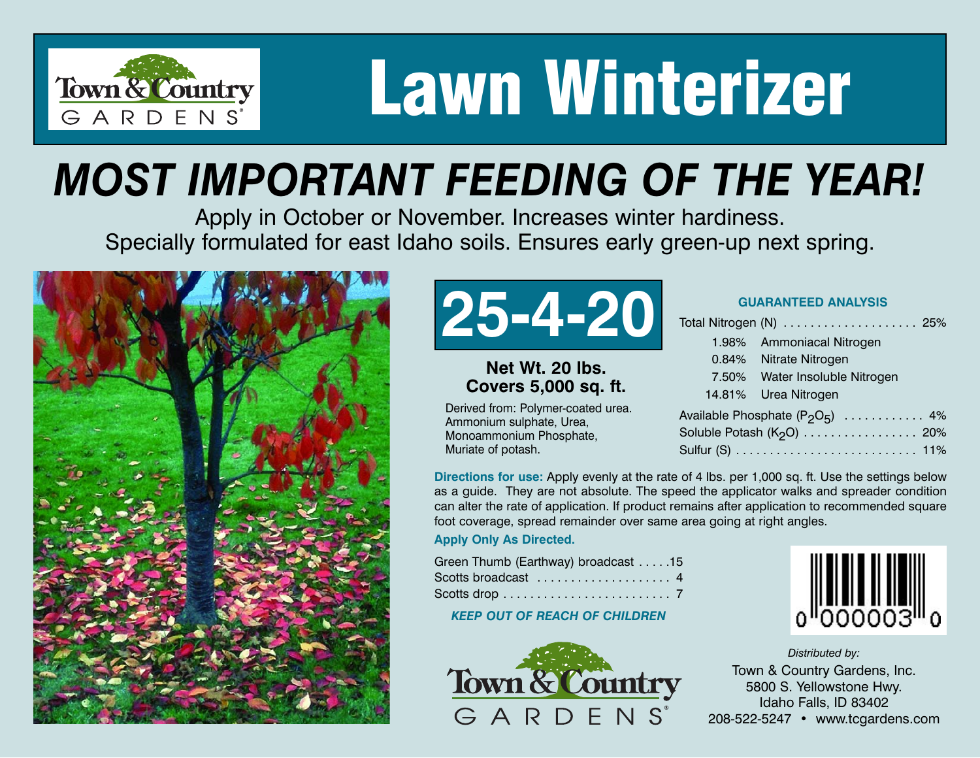

## **Lawn Winterizer**

### *MOST IMPORTANT FEEDING OF THE YEAR!*

Apply in October or November. Increases winter hardiness. Specially formulated for east Idaho soils. Ensures early green-up next spring.





#### **Net Wt. 20 lbs. Covers 5,000 sq. ft.**

Derived from: Polymer-coated urea. Ammonium sulphate, Urea, Monoammonium Phosphate, Muriate of potash.

| <b>GUARANTEED ANALYSIS</b> |  |
|----------------------------|--|
|----------------------------|--|

| Total Nitrogen (N)  25%               |
|---------------------------------------|
| 1.98% Ammoniacal Nitrogen             |
| 0.84% Nitrate Nitrogen                |
| 7.50% Water Insoluble Nitrogen        |
| 14.81% Urea Nitrogen                  |
| Available Phosphate $(P_2O_5)$ 4%     |
| Soluble Potash (K <sub>2</sub> O) 20% |
|                                       |

**Directions for use:** Apply evenly at the rate of 4 lbs. per 1,000 sq. ft. Use the settings below as a guide. They are not absolute. The speed the applicator walks and spreader condition can alter the rate of application. If product remains after application to recommended square foot coverage, spread remainder over same area going at right angles.

#### **Apply Only As Directed.**

| Green Thumb (Earthway) broadcast 15 |  |
|-------------------------------------|--|
|                                     |  |
|                                     |  |

*KEEP OUT OF REACH OF CHILDREN*



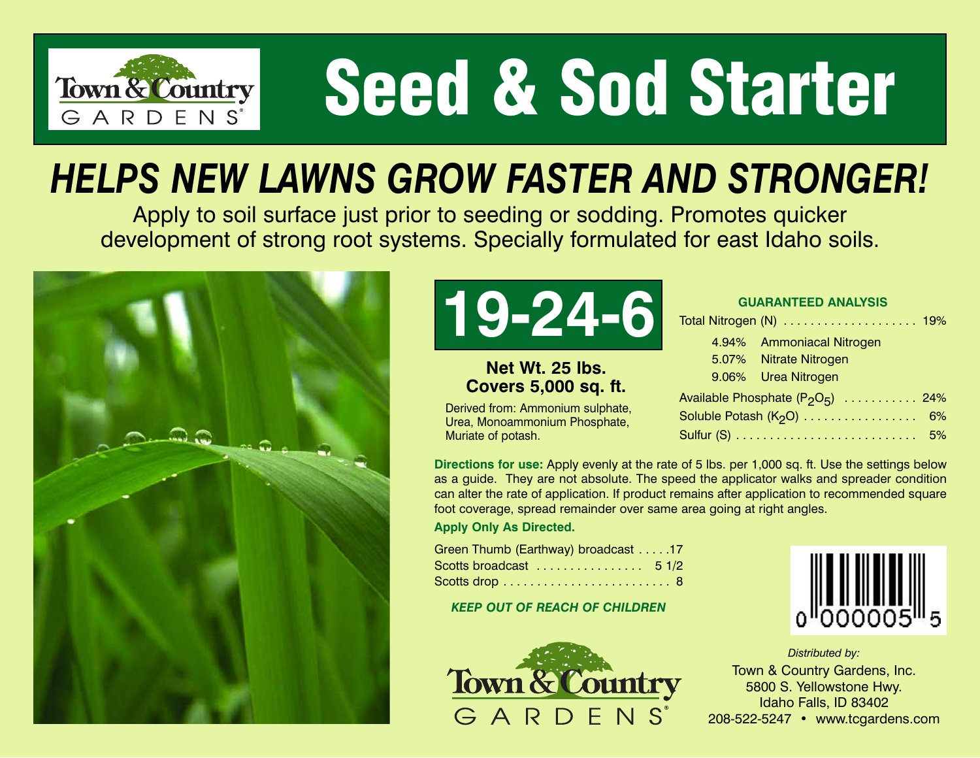

# **Seed & Sod Starter**

### *HELPS NEW LAWNS GROW FASTER AND STRONGER!*

Apply to soil surface just prior to seeding or sodding. Promotes quicker development of strong root systems. Specially formulated for east Idaho soils.





#### **Net Wt. 25 lbs. Covers 5,000 sq. ft.**

Derived from: Ammonium sulphate, Urea, Monoammonium Phosphate, Muriate of potash.

|  |  | <b>GUARANTEED ANALYSIS</b> |
|--|--|----------------------------|
|  |  |                            |

| Total Nitrogen (N)  19%                                   |  |
|-----------------------------------------------------------|--|
| 4.94% Ammoniacal Nitrogen                                 |  |
| 5.07% Nitrate Nitrogen                                    |  |
| 9.06% Urea Nitrogen                                       |  |
| Available Phosphate (P <sub>2</sub> O <sub>5</sub> )  24% |  |
|                                                           |  |
|                                                           |  |

**Directions for use:** Apply evenly at the rate of 5 lbs. per 1,000 sq. ft. Use the settings below as a guide. They are not absolute. The speed the applicator walks and spreader condition can alter the rate of application. If product remains after application to recommended square foot coverage, spread remainder over same area going at right angles.

**Apply Only As Directed.**

| Green Thumb (Earthway) broadcast 17 |  |
|-------------------------------------|--|
|                                     |  |
|                                     |  |

*KEEP OUT OF REACH OF CHILDREN*



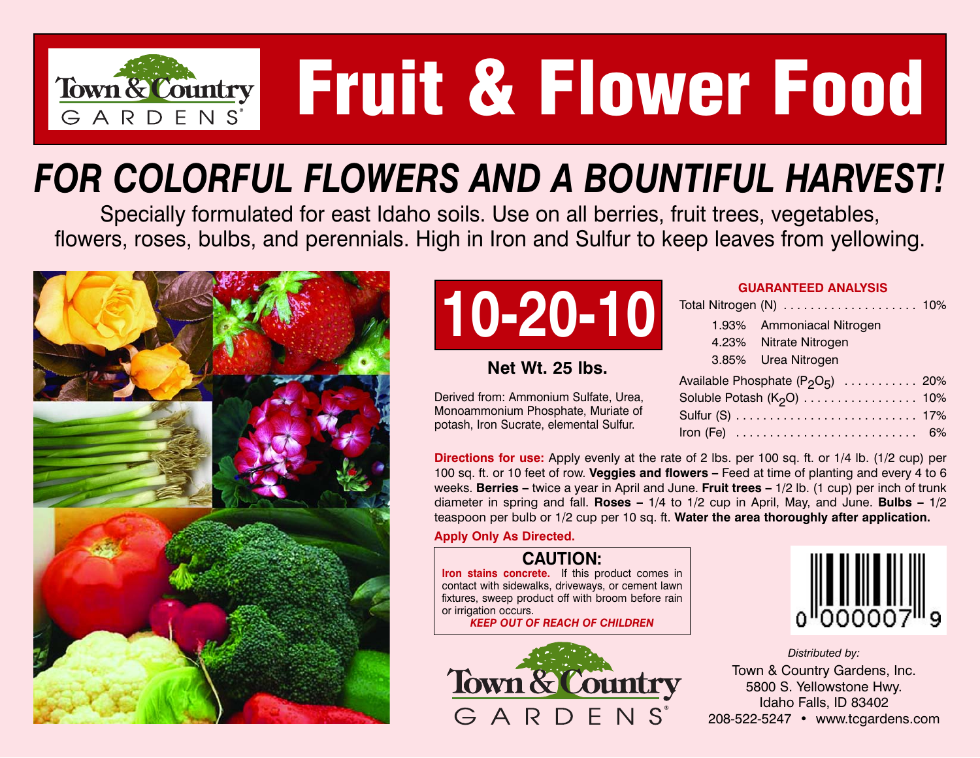

# **Fruit & Flower Food**

### *FOR COLORFUL FLOWERS AND A BOUNTIFUL HARVEST!*

Specially formulated for east Idaho soils. Use on all berries, fruit trees, vegetables, flowers, roses, bulbs, and perennials. High in Iron and Sulfur to keep leaves from yellowing.





#### **Net Wt. 25 lbs.**

Derived from: Ammonium Sulfate, Urea, Monoammonium Phosphate, Muriate of potash, Iron Sucrate, elemental Sulfur.

| Total Nitrogen (N)  10%               |  |
|---------------------------------------|--|
| 1.93% Ammoniacal Nitrogen             |  |
| 4.23% Nitrate Nitrogen                |  |
| 3.85% Urea Nitrogen                   |  |
| Available Phosphate $(P_2O_5)$ 20%    |  |
| Soluble Potash (K <sub>2</sub> O) 10% |  |
|                                       |  |
|                                       |  |

**Directions for use:** Apply evenly at the rate of 2 lbs. per 100 sq. ft. or 1/4 lb. (1/2 cup) per 100 sq. ft. or 10 feet of row. **Veggies and flowers –** Feed at time of planting and every 4 to 6 weeks. **Berries –** twice a year in April and June. **Fruit trees –** 1/2 lb. (1 cup) per inch of trunk diameter in spring and fall. **Roses –** 1/4 to 1/2 cup in April, May, and June. **Bulbs –** 1/2 teaspoon per bulb or 1/2 cup per 10 sq. ft. **Water the area thoroughly after application.**

**Apply Only As Directed.**

#### **CAUTION:**

**Iron stains concrete.** If this product comes in contact with sidewalks, driveways, or cement lawn fixtures, sweep product off with broom before rain or irrigation occurs.

*KEEP OUT OF REACH OF CHILDREN*